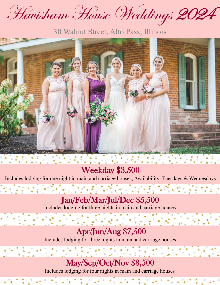Havisham House Weddings 202

30 Walnut Street, Alto Pass, Illinois



Weekday \$3,500

Includes lodging for one night in main and carriage houses; Availability: Tuesdays & Wednesdays

 $\label{eq:2.1} \frac{1}{2} \left( \frac{1}{2} \left( \frac{1}{2} \right) \left( \frac{1}{2} \right) \left( \frac{1}{2} \right) \left( \frac{1}{2} \right) \left( \frac{1}{2} \right) \left( \frac{1}{2} \right) \left( \frac{1}{2} \right) \left( \frac{1}{2} \right) \left( \frac{1}{2} \right) \left( \frac{1}{2} \right) \left( \frac{1}{2} \right) \left( \frac{1}{2} \right) \left( \frac{1}{2} \right) \left( \frac{1}{2} \right) \left( \frac{1}{2} \right$ 

Jan/Feb/Mar/Jul/Dec \$5,500 Includes lodging for three nights in main and carriage houses

## Apr/Jun/Aug \$7,500

Includes lodging for three nights in main and carriage houses

May/Sep/Oct/Nov \$8,500

Includes lodging for four nights in main and carriage houses